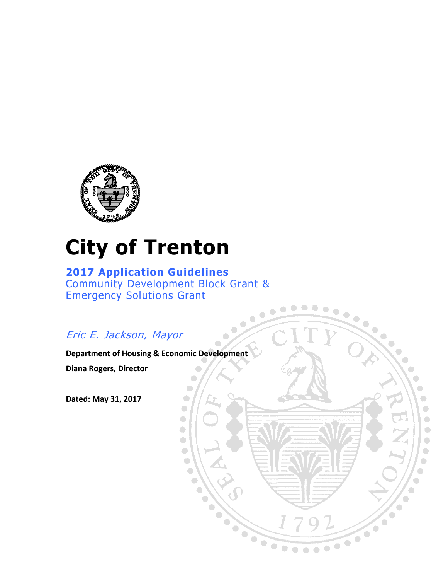

# **City of Trenton**

**2017 Application Guidelines** Community Development Block Grant & Emergency Solutions Grant

 $\bullet$ 

 $\bullet$  $\begin{array}{c} \hline \end{array}$  $\bullet$ 

 $\bullet$ 

 $\bullet$ 

 $\bullet$ 

 $\bigcirc$ 

 $\bullet$ 

O

 $\bullet$ 

 $\bigodot$ 

 $\bullet$ 

 $\bullet$ 

 $\bullet$ 

 $\bullet$ 

 $\bullet$ 

O

 $\bullet$ 

 $\bullet$ 

 $\bullet$ 

 $\bullet$ 

 $\frac{1}{\sqrt{2}}$ 

 $\bullet$  $\overline{\phantom{a}}$ 

 $\bigcirc$ 

 $\bigodot$ 

 $\bullet$  $\bullet$ 

 $\bullet$ 

 $\overline{\phantom{0}}$ 

 $\bullet$ 

 $\bigodot$ 

 $\bullet$ 

 $\bullet$ 

 $\bullet$ 

 $\begin{array}{c} \bullet \\ \bullet \end{array}$ 

 $\begin{array}{ccc} \bullet & \bullet & \bullet \\ \bullet & \bullet & \bullet \end{array}$ 

 $\bullet$ 

 $\begin{array}{c} \bullet \\ \bullet \end{array}$ 

 $\bullet$ 

 $\bullet$  $\bullet$  $\bullet$ 

 $\bullet$ 

 $\bullet$ 

 $\bullet$ 

**XXX** 

 $\bullet$ 

 $\bullet$   $\bullet$   $\bullet$ 

# Eric E. Jackson, Mayor

**Department of Housing & Economic Development**

**Diana Rogers, Director**

**Dated: May 31, 2017**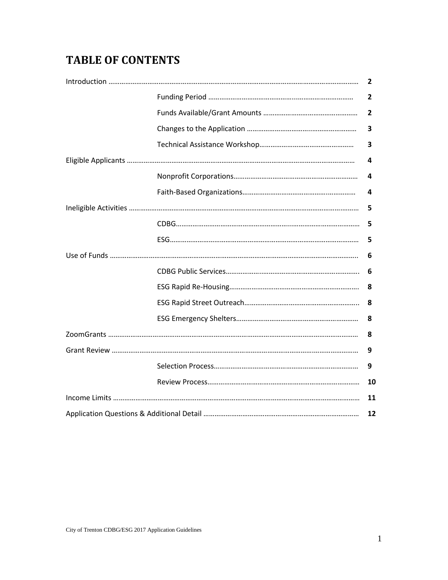# **TABLE OF CONTENTS**

|  | 2  |
|--|----|
|  | 2  |
|  | 2  |
|  | 3  |
|  | 3  |
|  | 4  |
|  | 4  |
|  | 4  |
|  | 5  |
|  | 5  |
|  | 5  |
|  | 6  |
|  | 6  |
|  | 8  |
|  | 8  |
|  | 8  |
|  | 8  |
|  | 9  |
|  | 9  |
|  | 10 |
|  | 11 |
|  | 12 |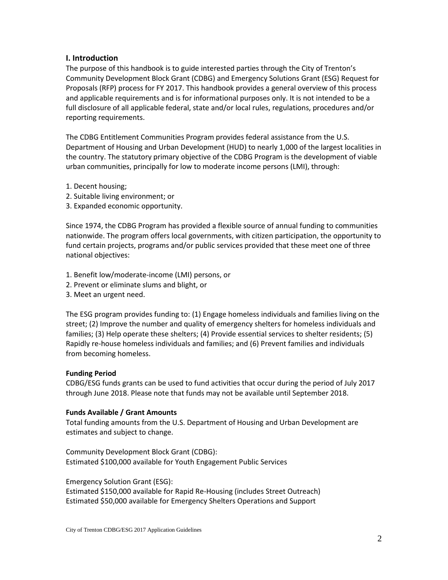#### **I. Introduction**

The purpose of this handbook is to guide interested parties through the City of Trenton's Community Development Block Grant (CDBG) and Emergency Solutions Grant (ESG) Request for Proposals (RFP) process for FY 2017. This handbook provides a general overview of this process and applicable requirements and is for informational purposes only. It is not intended to be a full disclosure of all applicable federal, state and/or local rules, regulations, procedures and/or reporting requirements.

The CDBG Entitlement Communities Program provides federal assistance from the U.S. Department of Housing and Urban Development (HUD) to nearly 1,000 of the largest localities in the country. The statutory primary objective of the CDBG Program is the development of viable urban communities, principally for low to moderate income persons (LMI), through:

- 1. Decent housing;
- 2. Suitable living environment; or
- 3. Expanded economic opportunity.

Since 1974, the CDBG Program has provided a flexible source of annual funding to communities nationwide. The program offers local governments, with citizen participation, the opportunity to fund certain projects, programs and/or public services provided that these meet one of three national objectives:

- 1. Benefit low/moderate-income (LMI) persons, or
- 2. Prevent or eliminate slums and blight, or
- 3. Meet an urgent need.

The ESG program provides funding to: (1) Engage homeless individuals and families living on the street; (2) Improve the number and quality of emergency shelters for homeless individuals and families; (3) Help operate these shelters; (4) Provide essential services to shelter residents; (5) Rapidly re-house homeless individuals and families; and (6) Prevent families and individuals from becoming homeless.

#### **Funding Period**

CDBG/ESG funds grants can be used to fund activities that occur during the period of July 2017 through June 2018. Please note that funds may not be available until September 2018.

#### **Funds Available / Grant Amounts**

Total funding amounts from the U.S. Department of Housing and Urban Development are estimates and subject to change.

Community Development Block Grant (CDBG): Estimated \$100,000 available for Youth Engagement Public Services

Emergency Solution Grant (ESG):

Estimated \$150,000 available for Rapid Re-Housing (includes Street Outreach) Estimated \$50,000 available for Emergency Shelters Operations and Support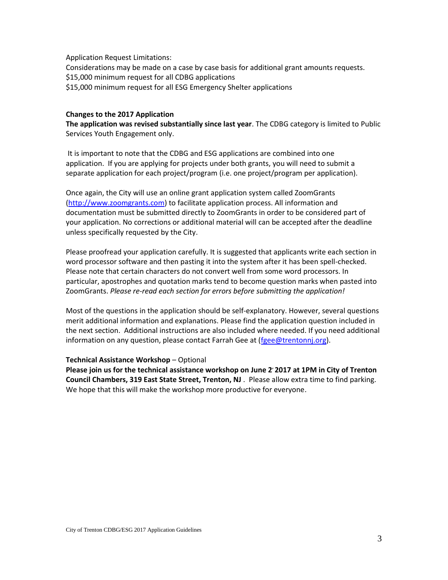Application Request Limitations:

Considerations may be made on a case by case basis for additional grant amounts requests. \$15,000 minimum request for all CDBG applications \$15,000 minimum request for all ESG Emergency Shelter applications

#### **Changes to the 2017 Application**

**The application was revised substantially since last year**. The CDBG category is limited to Public Services Youth Engagement only.

It is important to note that the CDBG and ESG applications are combined into one application. If you are applying for projects under both grants, you will need to submit a separate application for each project/program (i.e. one project/program per application).

Once again, the City will use an online grant application system called ZoomGrants [\(http://www.zoomgrants.com\)](http://www.zoomgrants.com/) to facilitate application process. All information and documentation must be submitted directly to ZoomGrants in order to be considered part of your application. No corrections or additional material will can be accepted after the deadline unless specifically requested by the City.

Please proofread your application carefully. It is suggested that applicants write each section in word processor software and then pasting it into the system after it has been spell-checked. Please note that certain characters do not convert well from some word processors. In particular, apostrophes and quotation marks tend to become question marks when pasted into ZoomGrants. *Please re-read each section for errors before submitting the application!*

Most of the questions in the application should be self-explanatory. However, several questions merit additional information and explanations. Please find the application question included in the next section. Additional instructions are also included where needed. If you need additional information on any question, please contact Farrah Gee at [\(fgee@trentonnj.org\)](mailto:fgee@trentonnj.org).

#### **Technical Assistance Workshop** – Optional

**Please join us for the technical assistance workshop on June 2, 2017 at 1PM in City of Trenton Council Chambers, 319 East State Street, Trenton, NJ** . Please allow extra time to find parking. We hope that this will make the workshop more productive for everyone.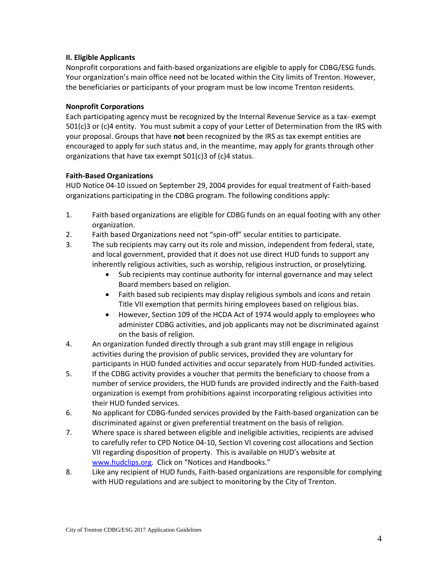#### **II. Eligible Applicants**

Nonprofit corporations and faith-based organizations are eligible to apply for CDBG/ESG funds. Your organization's main office need not be located within the City limits of Trenton. However, the beneficiaries or participants of your program must be low income Trenton residents.

## **Nonprofit Corporations**

Each participating agency must be recognized by the Internal Revenue Service as a tax- exempt 501(c)3 or (c)4 entity. You must submit a copy of your Letter of Determination from the IRS with your proposal. Groups that have **not** been recognized by the IRS as tax exempt entities are encouraged to apply for such status and, in the meantime, may apply for grants through other organizations that have tax exempt 501(c)3 of (c)4 status.

## **Faith-Based Organizations**

HUD Notice 04-10 issued on September 29, 2004 provides for equal treatment of Faith-based organizations participating in the CDBG program. The following conditions apply:

- 1. Faith based organizations are eligible for CDBG funds on an equal footing with any other organization.
- 2. Faith based Organizations need not "spin-off" secular entities to participate.
- 3. The sub recipients may carry out its role and mission, independent from federal, state, and local government, provided that it does not use direct HUD funds to support any inherently religious activities, such as worship, religious instruction, or proselytizing.
	- Sub recipients may continue authority for internal governance and may select Board members based on religion.
	- Faith based sub recipients may display religious symbols and icons and retain Title VII exemption that permits hiring employees based on religious bias.
	- However, Section 109 of the HCDA Act of 1974 would apply to employees who administer CDBG activities, and job applicants may not be discriminated against on the basis of religion.
- 4. An organization funded directly through a sub grant may still engage in religious activities during the provision of public services, provided they are voluntary for participants in HUD funded activities and occur separately from HUD-funded activities.
- 5. If the CDBG activity provides a voucher that permits the beneficiary to choose from a number of service providers, the HUD funds are provided indirectly and the Faith-based organization is exempt from prohibitions against incorporating religious activities into their HUD funded services.
- 6. No applicant for CDBG-funded services provided by the Faith-based organization can be discriminated against or given preferential treatment on the basis of religion.
- 7. Where space is shared between eligible and ineligible activities, recipients are advised to carefully refer to CPD Notice 04-10, Section VI covering cost allocations and Section VII regarding disposition of property. This is available on HUD's website at [www.hudclips.org](http://www.hudclips.org/). Click on "Notices and Handbooks."
- 8. Like any recipient of HUD funds, Faith-based organizations are responsible for complying with HUD regulations and are subject to monitoring by the City of Trenton.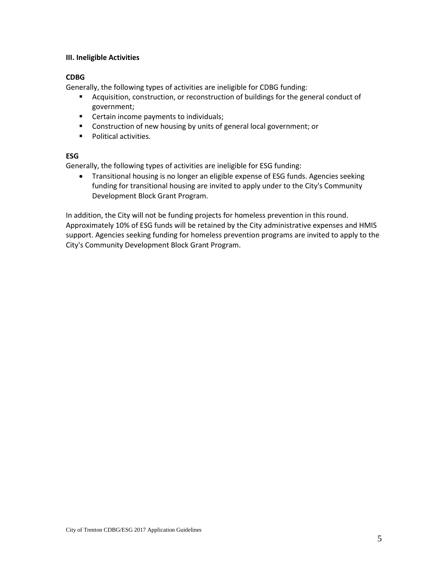#### **III. Ineligible Activities**

# **CDBG**

Generally, the following types of activities are ineligible for CDBG funding:

- Acquisition, construction, or reconstruction of buildings for the general conduct of government;
- **EXEC** Certain income payments to individuals;
- **EXEDENT** Construction of new housing by units of general local government; or
- **Political activities.**

#### **ESG**

Generally, the following types of activities are ineligible for ESG funding:

 Transitional housing is no longer an eligible expense of ESG funds. Agencies seeking funding for transitional housing are invited to apply under to the City's Community Development Block Grant Program.

In addition, the City will not be funding projects for homeless prevention in this round. Approximately 10% of ESG funds will be retained by the City administrative expenses and HMIS support. Agencies seeking funding for homeless prevention programs are invited to apply to the City's Community Development Block Grant Program.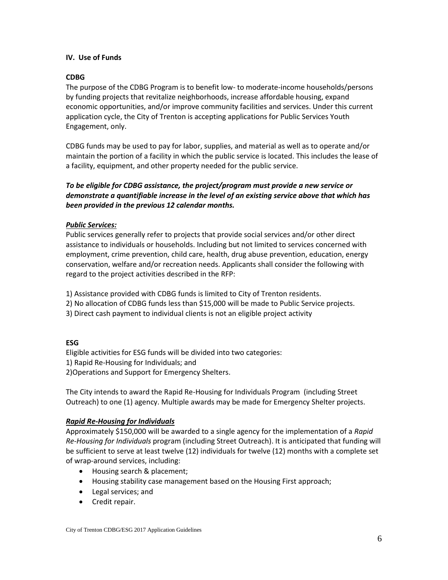#### **IV. Use of Funds**

#### **CDBG**

The purpose of the CDBG Program is to benefit low- to moderate-income households/persons by funding projects that revitalize neighborhoods, increase affordable housing, expand economic opportunities, and/or improve community facilities and services. Under this current application cycle, the City of Trenton is accepting applications for Public Services Youth Engagement, only.

CDBG funds may be used to pay for labor, supplies, and material as well as to operate and/or maintain the portion of a facility in which the public service is located. This includes the lease of a facility, equipment, and other property needed for the public service.

# *To be eligible for CDBG assistance, the project/program must provide a new service or demonstrate a quantifiable increase in the level of an existing service above that which has been provided in the previous 12 calendar months.*

## *Public Services:*

Public services generally refer to projects that provide social services and/or other direct assistance to individuals or households. Including but not limited to services concerned with employment, crime prevention, child care, health, drug abuse prevention, education, energy conservation, welfare and/or recreation needs. Applicants shall consider the following with regard to the project activities described in the RFP:

1) Assistance provided with CDBG funds is limited to City of Trenton residents.

- 2) No allocation of CDBG funds less than \$15,000 will be made to Public Service projects.
- 3) Direct cash payment to individual clients is not an eligible project activity

#### **ESG**

Eligible activities for ESG funds will be divided into two categories:

1) Rapid Re-Housing for Individuals; and

2)Operations and Support for Emergency Shelters.

The City intends to award the Rapid Re-Housing for Individuals Program (including Street Outreach) to one (1) agency. Multiple awards may be made for Emergency Shelter projects.

#### *Rapid Re-Housing for Individuals*

Approximately \$150,000 will be awarded to a single agency for the implementation of a *Rapid Re-Housing for Individuals* program (including Street Outreach). It is anticipated that funding will be sufficient to serve at least twelve (12) individuals for twelve (12) months with a complete set of wrap-around services, including:

- Housing search & placement;
- Housing stability case management based on the Housing First approach;
- Legal services; and
- Credit repair.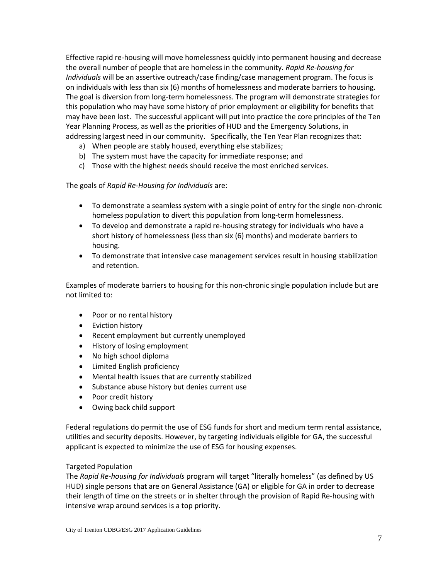Effective rapid re-housing will move homelessness quickly into permanent housing and decrease the overall number of people that are homeless in the community. *Rapid Re-housing for Individuals* will be an assertive outreach/case finding/case management program. The focus is on individuals with less than six (6) months of homelessness and moderate barriers to housing. The goal is diversion from long-term homelessness. The program will demonstrate strategies for this population who may have some history of prior employment or eligibility for benefits that may have been lost. The successful applicant will put into practice the core principles of the Ten Year Planning Process, as well as the priorities of HUD and the Emergency Solutions, in addressing largest need in our community. Specifically, the Ten Year Plan recognizes that:

- a) When people are stably housed, everything else stabilizes;
- b) The system must have the capacity for immediate response; and
- c) Those with the highest needs should receive the most enriched services.

The goals of *Rapid Re-Housing for Individuals* are:

- To demonstrate a seamless system with a single point of entry for the single non-chronic homeless population to divert this population from long-term homelessness.
- To develop and demonstrate a rapid re-housing strategy for individuals who have a short history of homelessness (less than six (6) months) and moderate barriers to housing.
- To demonstrate that intensive case management services result in housing stabilization and retention.

Examples of moderate barriers to housing for this non-chronic single population include but are not limited to:

- Poor or no rental history
- Eviction history
- Recent employment but currently unemployed
- History of losing employment
- No high school diploma
- Limited English proficiency
- Mental health issues that are currently stabilized
- Substance abuse history but denies current use
- Poor credit history
- Owing back child support

Federal regulations do permit the use of ESG funds for short and medium term rental assistance, utilities and security deposits. However, by targeting individuals eligible for GA, the successful applicant is expected to minimize the use of ESG for housing expenses.

#### Targeted Population

The *Rapid Re-housing for Individuals* program will target "literally homeless" (as defined by US HUD) single persons that are on General Assistance (GA) or eligible for GA in order to decrease their length of time on the streets or in shelter through the provision of Rapid Re-housing with intensive wrap around services is a top priority.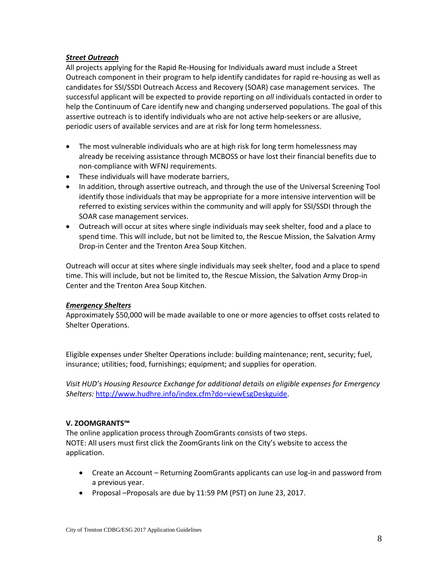#### *Street Outreach*

All projects applying for the Rapid Re-Housing for Individuals award must include a Street Outreach component in their program to help identify candidates for rapid re-housing as well as candidates for SSI/SSDI Outreach Access and Recovery (SOAR) case management services. The successful applicant will be expected to provide reporting on *all* individuals contacted in order to help the Continuum of Care identify new and changing underserved populations. The goal of this assertive outreach is to identify individuals who are not active help-seekers or are allusive, periodic users of available services and are at risk for long term homelessness.

- The most vulnerable individuals who are at high risk for long term homelessness may already be receiving assistance through MCBOSS or have lost their financial benefits due to non-compliance with WFNJ requirements.
- These individuals will have moderate barriers,
- In addition, through assertive outreach, and through the use of the Universal Screening Tool identify those individuals that may be appropriate for a more intensive intervention will be referred to existing services within the community and will apply for SSI/SSDI through the SOAR case management services.
- Outreach will occur at sites where single individuals may seek shelter, food and a place to spend time. This will include, but not be limited to, the Rescue Mission, the Salvation Army Drop-in Center and the Trenton Area Soup Kitchen.

Outreach will occur at sites where single individuals may seek shelter, food and a place to spend time. This will include, but not be limited to, the Rescue Mission, the Salvation Army Drop-in Center and the Trenton Area Soup Kitchen.

#### *Emergency Shelters*

Approximately \$50,000 will be made available to one or more agencies to offset costs related to Shelter Operations.

Eligible expenses under Shelter Operations include: building maintenance; rent, security; fuel, insurance; utilities; food, furnishings; equipment; and supplies for operation.

*Visit HUD's Housing Resource Exchange for additional details on eligible expenses for Emergency Shelters:* [http://www.hudhre.info/index.cfm?do=viewEsgDeskguide.](http://www.hudhre.info/index.cfm?do=viewEsgDeskguide)

# **V. ZOOMGRANTS™**

The online application process through ZoomGrants consists of two steps. NOTE: All users must first click the ZoomGrants link on the City's website to access the application.

- Create an Account Returning ZoomGrants applicants can use log-in and password from a previous year.
- Proposal –Proposals are due by 11:59 PM (PST) on June 23, 2017.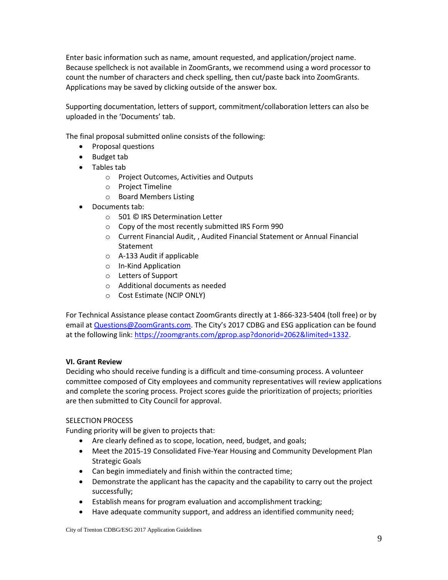Enter basic information such as name, amount requested, and application/project name. Because spellcheck is not available in ZoomGrants, we recommend using a word processor to count the number of characters and check spelling, then cut/paste back into ZoomGrants. Applications may be saved by clicking outside of the answer box.

Supporting documentation, letters of support, commitment/collaboration letters can also be uploaded in the 'Documents' tab.

The final proposal submitted online consists of the following:

- Proposal questions
- Budget tab
- Tables tab
	- o Project Outcomes, Activities and Outputs
	- o Project Timeline
	- o Board Members Listing
- Documents tab:
	- o 501 © IRS Determination Letter
	- o Copy of the most recently submitted IRS Form 990
	- o Current Financial Audit, , Audited Financial Statement or Annual Financial Statement
	- o A-133 Audit if applicable
	- o In-Kind Application
	- o Letters of Support
	- o Additional documents as needed
	- o Cost Estimate (NCIP ONLY)

For Technical Assistance please contact ZoomGrants directly at 1-866-323-5404 (toll free) or by email a[t Questions@ZoomGrants.com.](mailto:Questions@ZoomGrants.com) The City's 2017 CDBG and ESG application can be found at the following link: [https://zoomgrants.com/gprop.asp?donorid=2062&limited=1332.](https://zoomgrants.com/gprop.asp?donorid=2062&limited=1332)

#### **VI. Grant Review**

Deciding who should receive funding is a difficult and time-consuming process. A volunteer committee composed of City employees and community representatives will review applications and complete the scoring process. Project scores guide the prioritization of projects; priorities are then submitted to City Council for approval.

#### SELECTION PROCESS

Funding priority will be given to projects that:

- Are clearly defined as to scope, location, need, budget, and goals;
- Meet the 2015-19 Consolidated Five-Year Housing and Community Development Plan Strategic Goals
- Can begin immediately and finish within the contracted time;
- Demonstrate the applicant has the capacity and the capability to carry out the project successfully;
- Establish means for program evaluation and accomplishment tracking;
- Have adequate community support, and address an identified community need;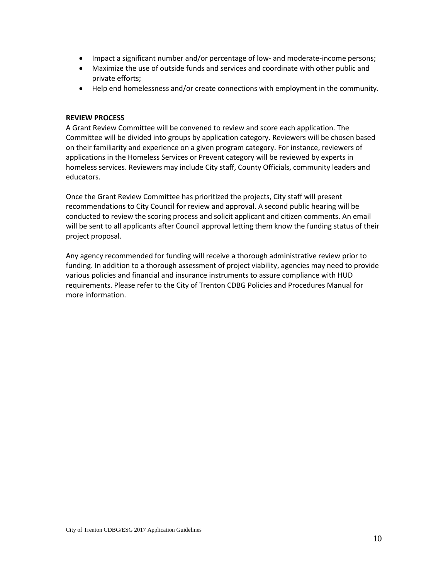- Impact a significant number and/or percentage of low- and moderate-income persons;
- Maximize the use of outside funds and services and coordinate with other public and private efforts;
- Help end homelessness and/or create connections with employment in the community.

#### **REVIEW PROCESS**

A Grant Review Committee will be convened to review and score each application. The Committee will be divided into groups by application category. Reviewers will be chosen based on their familiarity and experience on a given program category. For instance, reviewers of applications in the Homeless Services or Prevent category will be reviewed by experts in homeless services. Reviewers may include City staff, County Officials, community leaders and educators.

Once the Grant Review Committee has prioritized the projects, City staff will present recommendations to City Council for review and approval. A second public hearing will be conducted to review the scoring process and solicit applicant and citizen comments. An email will be sent to all applicants after Council approval letting them know the funding status of their project proposal.

Any agency recommended for funding will receive a thorough administrative review prior to funding. In addition to a thorough assessment of project viability, agencies may need to provide various policies and financial and insurance instruments to assure compliance with HUD requirements. Please refer to the City of Trenton CDBG Policies and Procedures Manual for more information.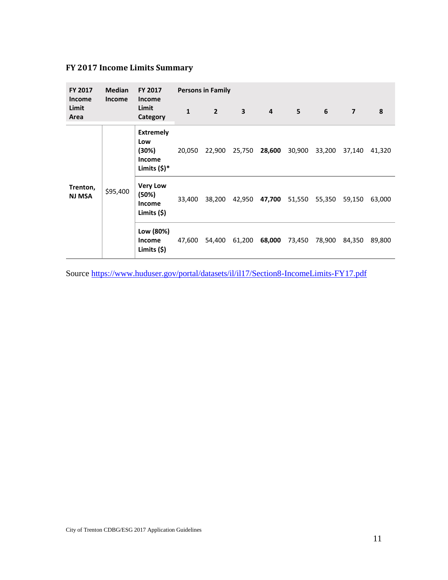# **FY 2017 Income Limits Summary**

| <b>FY 2017</b><br><b>Income</b><br>Limit<br>Area | <b>Median</b><br><b>Income</b> | FY 2017<br><b>Income</b>                                            | <b>Persons in Family</b> |                |                         |                |        |        |                |        |
|--------------------------------------------------|--------------------------------|---------------------------------------------------------------------|--------------------------|----------------|-------------------------|----------------|--------|--------|----------------|--------|
|                                                  |                                | Limit<br>Category                                                   | $\mathbf{1}$             | $\overline{2}$ | $\overline{\mathbf{3}}$ | $\overline{4}$ | 5      | 6      | $\overline{7}$ | 8      |
| Trenton,<br><b>NJ MSA</b>                        | \$95,400                       | <b>Extremely</b><br>Low<br>(30%)<br><b>Income</b><br>Limits $(5)^*$ | 20,050                   | 22,900         | 25,750                  | 28,600         | 30,900 | 33,200 | 37,140         | 41,320 |
|                                                  |                                | <b>Very Low</b><br>(50%)<br><b>Income</b><br>Limits $(5)$           | 33,400                   | 38,200         | 42,950                  | 47,700         | 51,550 | 55,350 | 59,150         | 63,000 |
|                                                  |                                | Low (80%)<br>Income<br>Limits $(5)$                                 | 47,600                   | 54,400         | 61,200                  | 68,000         | 73,450 | 78,900 | 84,350         | 89,800 |

Source<https://www.huduser.gov/portal/datasets/il/il17/Section8-IncomeLimits-FY17.pdf>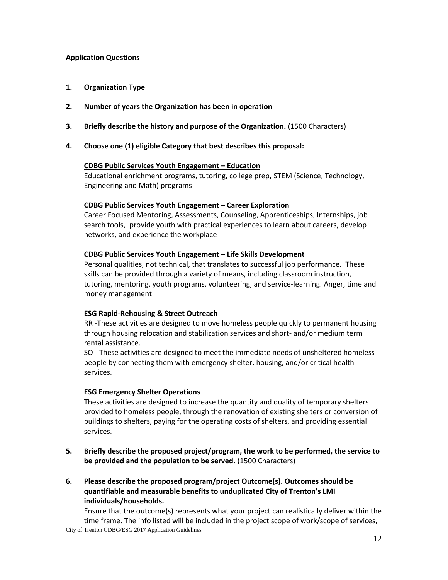#### **Application Questions**

- **1. Organization Type**
- **2. Number of years the Organization has been in operation**
- **3. Briefly describe the history and purpose of the Organization.** (1500 Characters)
- **4. Choose one (1) eligible Category that best describes this proposal:**

#### **CDBG Public Services Youth Engagement – Education**

Educational enrichment programs, tutoring, college prep, STEM (Science, Technology, Engineering and Math) programs

#### **CDBG Public Services Youth Engagement – Career Exploration**

Career Focused Mentoring, Assessments, Counseling, Apprenticeships, Internships, job search tools, provide youth with practical experiences to learn about careers, develop networks, and experience the workplace

#### **CDBG Public Services Youth Engagement – Life Skills Development**

Personal qualities, not technical, that translates to successful job performance. These skills can be provided through a variety of means, including classroom instruction, tutoring, mentoring, youth programs, [volunteering,](http://youth.gov/youth-topics/civic-engagement-and-volunteering) and [service-learning.](http://youth.gov/youth-topics/service-learning) Anger, time and money management

#### **ESG Rapid-Rehousing & Street Outreach**

RR -These activities are designed to move homeless people quickly to permanent housing through housing relocation and stabilization services and short- and/or medium term rental assistance.

SO - These activities are designed to meet the immediate needs of unsheltered homeless people by connecting them with emergency shelter, housing, and/or critical health services.

#### **ESG Emergency Shelter Operations**

These activities are designed to increase the quantity and quality of temporary shelters provided to homeless people, through the renovation of existing shelters or conversion of buildings to shelters, paying for the operating costs of shelters, and providing essential services.

- **5. Briefly describe the proposed project/program, the work to be performed, the service to be provided and the population to be served.** (1500 Characters)
- **6. Please describe the proposed program/project Outcome(s). Outcomes should be quantifiable and measurable benefits to unduplicated City of Trenton's LMI individuals/households.**

City of Trenton CDBG/ESG 2017 Application Guidelines Ensure that the outcome(s) represents what your project can realistically deliver within the time frame. The info listed will be included in the project scope of work/scope of services,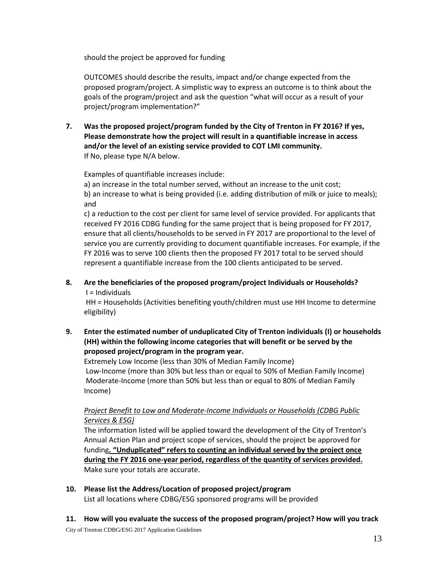should the project be approved for funding

OUTCOMES should describe the results, impact and/or change expected from the proposed program/project. A simplistic way to express an outcome is to think about the goals of the program/project and ask the question "what will occur as a result of your project/program implementation?"

**7. Was the proposed project/program funded by the City of Trenton in FY 2016? If yes, Please demonstrate how the project will result in a quantifiable increase in access and/or the level of an existing service provided to COT LMI community.** If No, please type N/A below.

Examples of quantifiable increases include:

a) an increase in the total number served, without an increase to the unit cost; b) an increase to what is being provided (i.e. adding distribution of milk or juice to meals); and

c) a reduction to the cost per client for same level of service provided. For applicants that received FY 2016 CDBG funding for the same project that is being proposed for FY 2017, ensure that all clients/households to be served in FY 2017 are proportional to the level of service you are currently providing to document quantifiable increases. For example, if the FY 2016 was to serve 100 clients then the proposed FY 2017 total to be served should represent a quantifiable increase from the 100 clients anticipated to be served.

**8. Are the beneficiaries of the proposed program/project Individuals or Households?**  $I = Individuals$ 

HH = Households (Activities benefiting youth/children must use HH Income to determine eligibility)

**9. Enter the estimated number of unduplicated City of Trenton individuals (I) or households (HH) within the following income categories that will benefit or be served by the proposed project/program in the program year.**

Extremely Low Income (less than 30% of Median Family Income) Low-Income (more than 30% but less than or equal to 50% of Median Family Income) Moderate-Income (more than 50% but less than or equal to 80% of Median Family Income)

# *Project Benefit to Low and Moderate-Income Individuals or Households (CDBG Public Services & ESG)*

The information listed will be applied toward the development of the City of Trenton's Annual Action Plan and project scope of services, should the project be approved for funding**. "Unduplicated" refers to counting an individual served by the project once during the FY 2016 one-year period, regardless of the quantity of services provided.**  Make sure your totals are accurate.

**10. Please list the Address/Location of proposed project/program** List all locations where CDBG/ESG sponsored programs will be provided

**11. How will you evaluate the success of the proposed program/project? How will you track** 

City of Trenton CDBG/ESG 2017 Application Guidelines